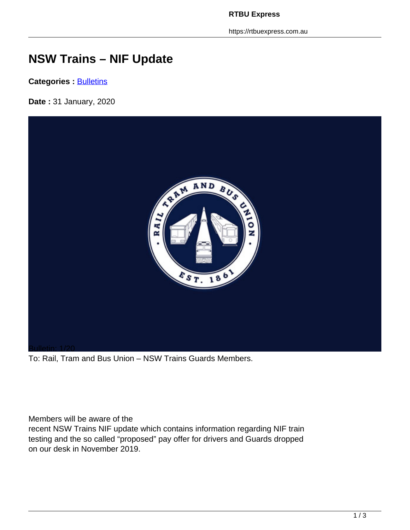https://rtbuexpress.com.au

## **NSW Trains – NIF Update**

**Categories : [Bulletins](https://rtbuexpress.com.au/category/news/bulletins/)** 

**Date :** 31 January, 2020



To: Rail, Tram and Bus Union – NSW Trains Guards Members.

Members will be aware of the

recent NSW Trains NIF update which contains information regarding NIF train testing and the so called "proposed" pay offer for drivers and Guards dropped on our desk in November 2019.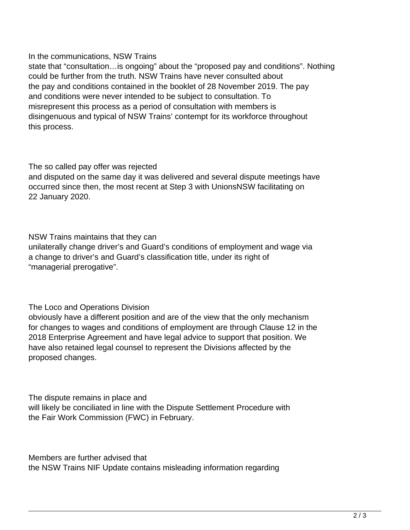## In the communications, NSW Trains

state that "consultation…is ongoing" about the "proposed pay and conditions". Nothing could be further from the truth. NSW Trains have never consulted about the pay and conditions contained in the booklet of 28 November 2019. The pay and conditions were never intended to be subject to consultation. To misrepresent this process as a period of consultation with members is disingenuous and typical of NSW Trains' contempt for its workforce throughout this process.

## The so called pay offer was rejected

and disputed on the same day it was delivered and several dispute meetings have occurred since then, the most recent at Step 3 with UnionsNSW facilitating on 22 January 2020.

NSW Trains maintains that they can

unilaterally change driver's and Guard's conditions of employment and wage via a change to driver's and Guard's classification title, under its right of "managerial prerogative".

The Loco and Operations Division

obviously have a different position and are of the view that the only mechanism for changes to wages and conditions of employment are through Clause 12 in the 2018 Enterprise Agreement and have legal advice to support that position. We have also retained legal counsel to represent the Divisions affected by the proposed changes.

The dispute remains in place and will likely be conciliated in line with the Dispute Settlement Procedure with the Fair Work Commission (FWC) in February.

Members are further advised that the NSW Trains NIF Update contains misleading information regarding